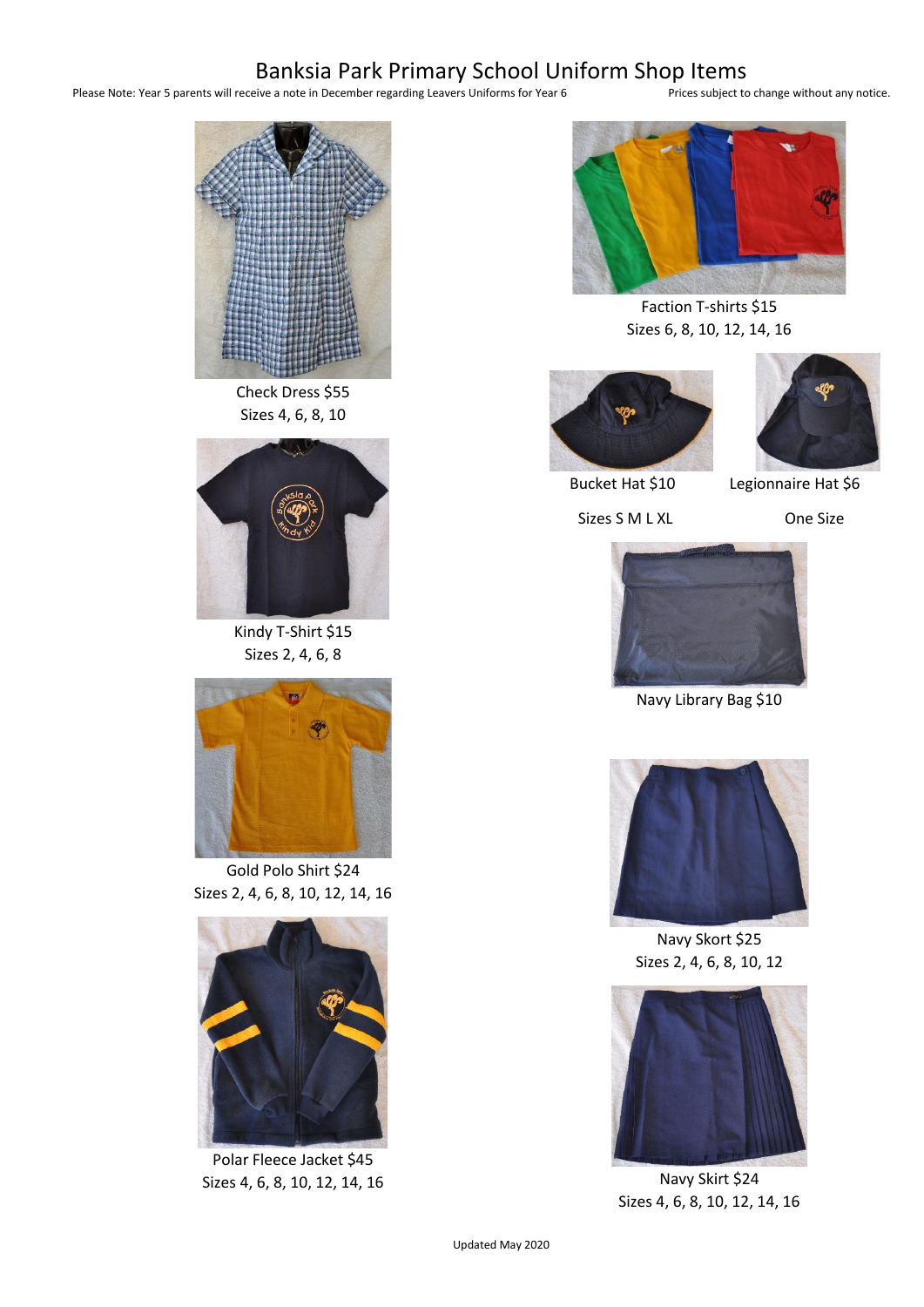## Banksia Park Primary School Uniform Shop Items<br>eive a note in December regarding Leavers Uniforms for Year 6<br>Prices subject to change without any notice.

Please Note: Year 5 parents will receive a note in December regarding Leavers Uniforms for Year 6



Check Dress \$55 Sizes 4, 6, 8, 10



Kindy T-Shirt \$15 Sizes 2, 4, 6, 8



Gold Polo Shirt \$24 Sizes 2, 4, 6, 8, 10, 12, 14, 16



Polar Fleece Jacket \$45 Sizes 4, 6, 8, 10, 12, 14, 16



Faction T-shirts \$15 Sizes 6, 8, 10, 12, 14, 16





Bucket Hat \$10 Legionnaire Hat \$6

Sizes S M L XL One Size



Navy Library Bag \$10



Navy Skort \$25 Sizes 2, 4, 6, 8, 10, 12



Navy Skirt \$24 Sizes 4, 6, 8, 10, 12, 14, 16